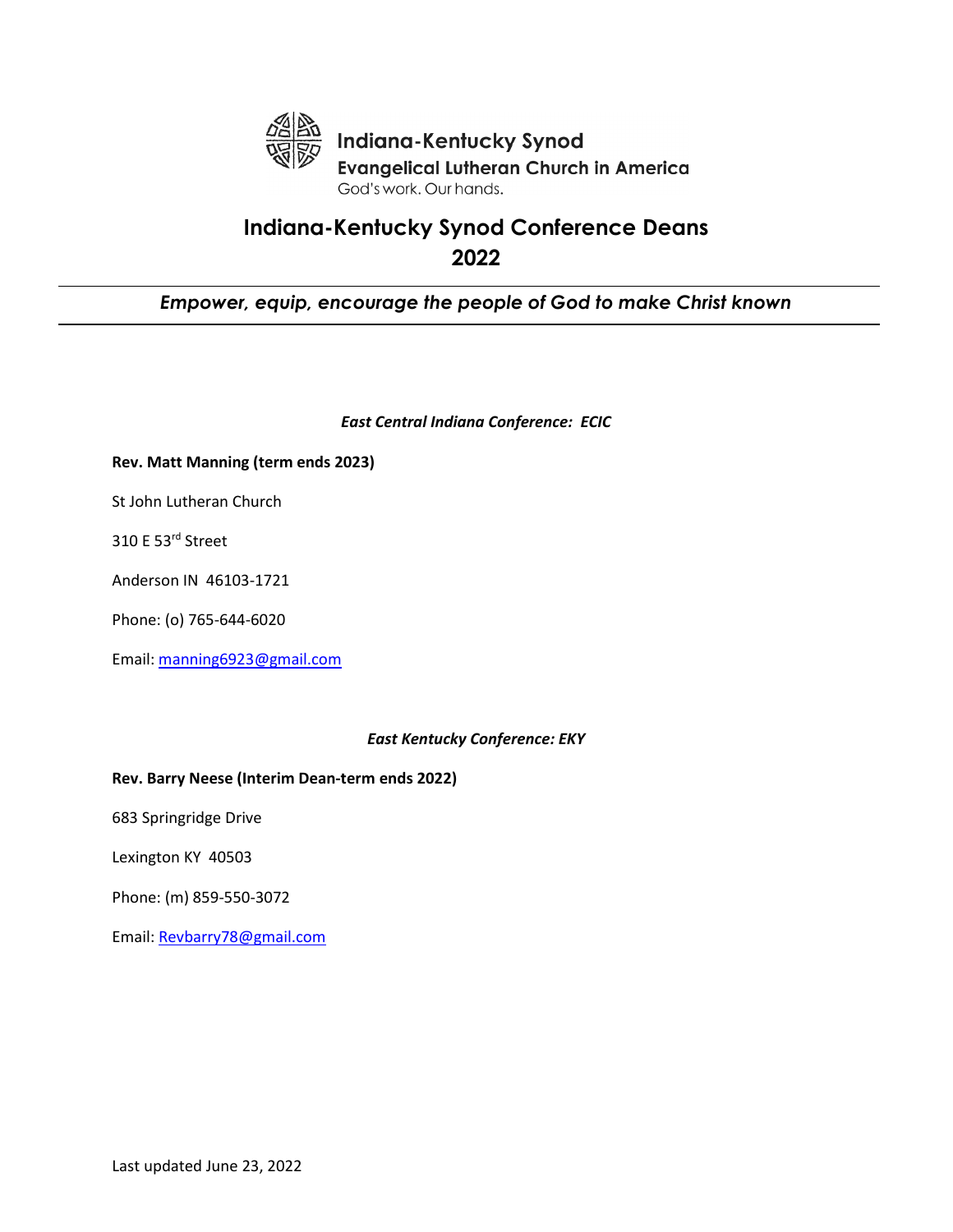

# **Indiana-Kentucky Synod Conference Deans 2022**

# *Empower, equip, encourage the people of God to make Christ known*

#### *East Central Indiana Conference: ECIC*

#### **Rev. Matt Manning (term ends 2023)**

St John Lutheran Church

310 E 53rd Street

Anderson IN 46103-1721

Phone: (o) 765-644-6020

Email: [manning6923@gmail.com](mailto:manning6923@gmail.com)

## *East Kentucky Conference: EKY*

### **Rev. Barry Neese (Interim Dean-term ends 2022)**

683 Springridge Drive

Lexington KY 40503

Phone: (m) 859-550-3072

Email: [Revbarry78@gmail.com](mailto:Revbarry78@gmail.com)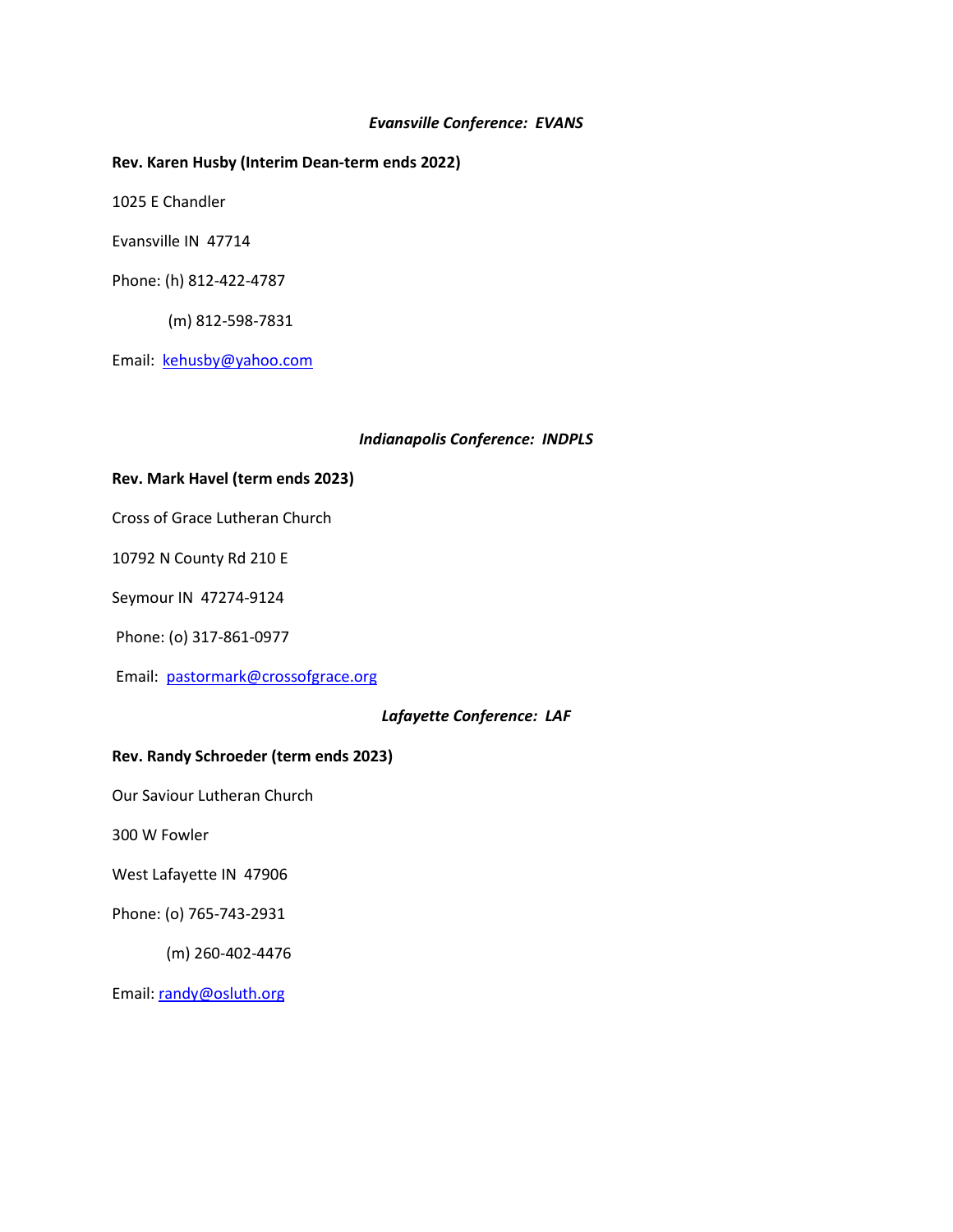#### *Evansville Conference: EVANS*

#### **Rev. Karen Husby (Interim Dean-term ends 2022)**

1025 E Chandler

Evansville IN 47714

Phone: (h) 812-422-4787

(m) 812-598-7831

Email: [kehusby@yahoo.com](mailto:kehusby@yahoo.com)

#### *Indianapolis Conference: INDPLS*

#### **Rev. Mark Havel (term ends 2023)**

Cross of Grace Lutheran Church

10792 N County Rd 210 E

Seymour IN 47274-9124

Phone: (o) 317-861-0977

Email: [pastormark@crossofgrace.org](mailto:pastormark@crossofgrace.org)

#### *Lafayette Conference: LAF*

## **Rev. Randy Schroeder (term ends 2023)**

Our Saviour Lutheran Church

300 W Fowler

West Lafayette IN 47906

Phone: (o) 765-743-2931

(m) 260-402-4476

Email: [randy@osluth.org](mailto:randy@osluth.org)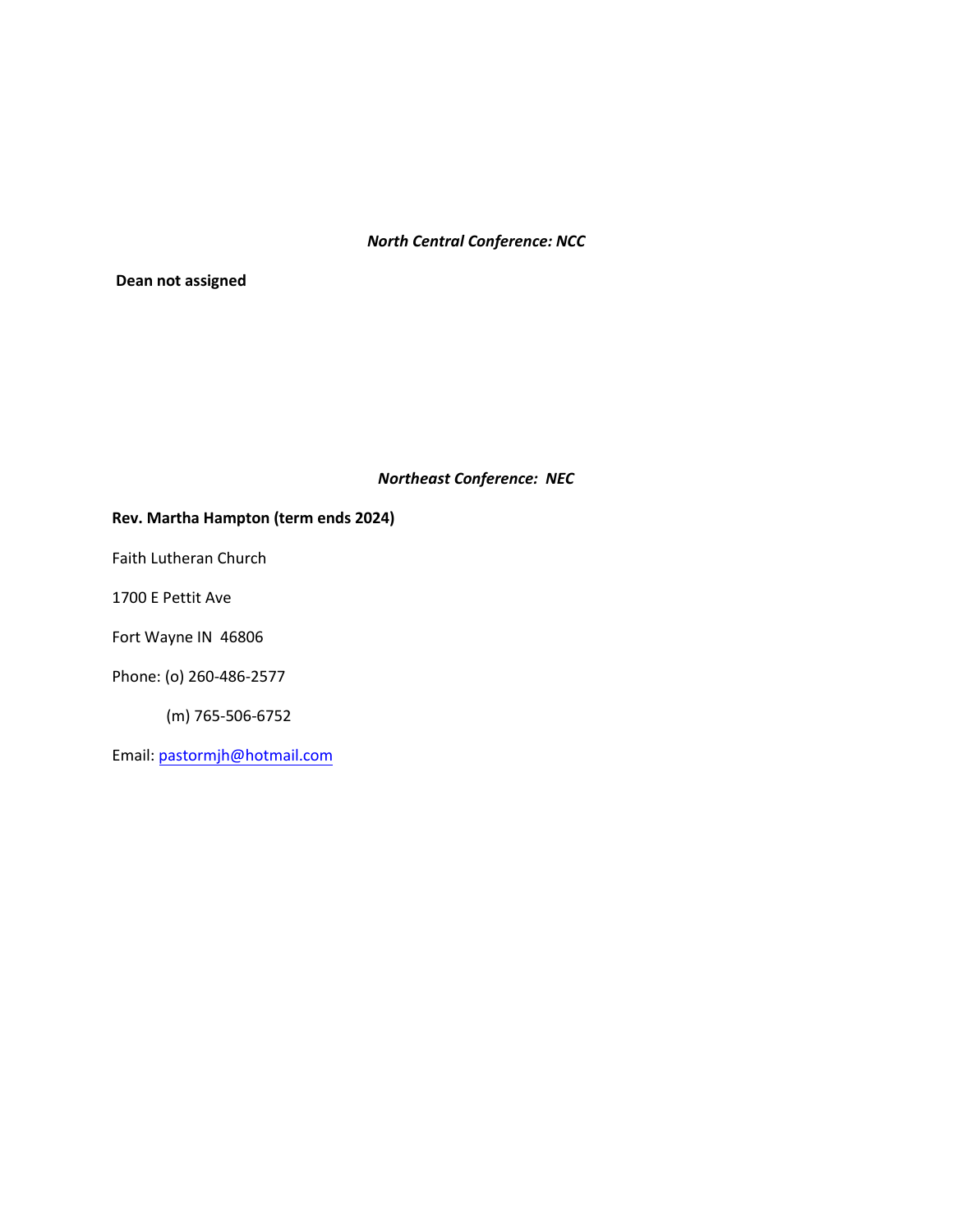# *North Central Conference: NCC*

**Dean not assigned**

## *Northeast Conference: NEC*

## **Rev. Martha Hampton (term ends 2024)**

Faith Lutheran Church

1700 E Pettit Ave

Fort Wayne IN 46806

Phone: (o) 260-486-2577

(m) 765-506-6752

Email: [pastormjh@hotmail.com](mailto:pastormjh@hotmail.com)